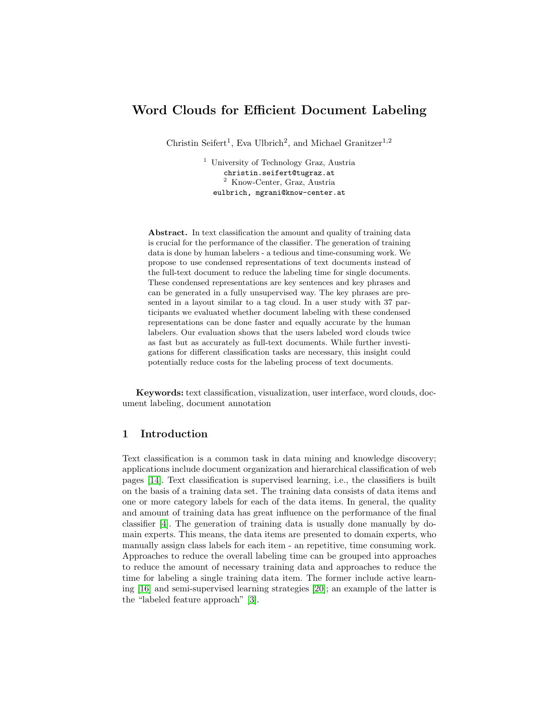# Word Clouds for Efficient Document Labeling

Christin Seifert<sup>1</sup>, Eva Ulbrich<sup>2</sup>, and Michael Granitzer<sup>1,2</sup>

<sup>1</sup> University of Technology Graz, Austria christin.seifert@tugraz.at <sup>2</sup> Know-Center, Graz, Austria eulbrich, mgrani@know-center.at

Abstract. In text classification the amount and quality of training data is crucial for the performance of the classifier. The generation of training data is done by human labelers - a tedious and time-consuming work. We propose to use condensed representations of text documents instead of the full-text document to reduce the labeling time for single documents. These condensed representations are key sentences and key phrases and can be generated in a fully unsupervised way. The key phrases are presented in a layout similar to a tag cloud. In a user study with 37 participants we evaluated whether document labeling with these condensed representations can be done faster and equally accurate by the human labelers. Our evaluation shows that the users labeled word clouds twice as fast but as accurately as full-text documents. While further investigations for different classification tasks are necessary, this insight could potentially reduce costs for the labeling process of text documents.

Keywords: text classification, visualization, user interface, word clouds, document labeling, document annotation

## 1 Introduction

Text classification is a common task in data mining and knowledge discovery; applications include document organization and hierarchical classification of web pages [\[14\]](#page-14-0). Text classification is supervised learning, i.e., the classifiers is built on the basis of a training data set. The training data consists of data items and one or more category labels for each of the data items. In general, the quality and amount of training data has great influence on the performance of the final classifier [\[4\]](#page-13-0). The generation of training data is usually done manually by domain experts. This means, the data items are presented to domain experts, who manually assign class labels for each item - an repetitive, time consuming work. Approaches to reduce the overall labeling time can be grouped into approaches to reduce the amount of necessary training data and approaches to reduce the time for labeling a single training data item. The former include active learning [\[16\]](#page-14-1) and semi-supervised learning strategies [\[20\]](#page-14-2); an example of the latter is the "labeled feature approach" [\[3\]](#page-13-1).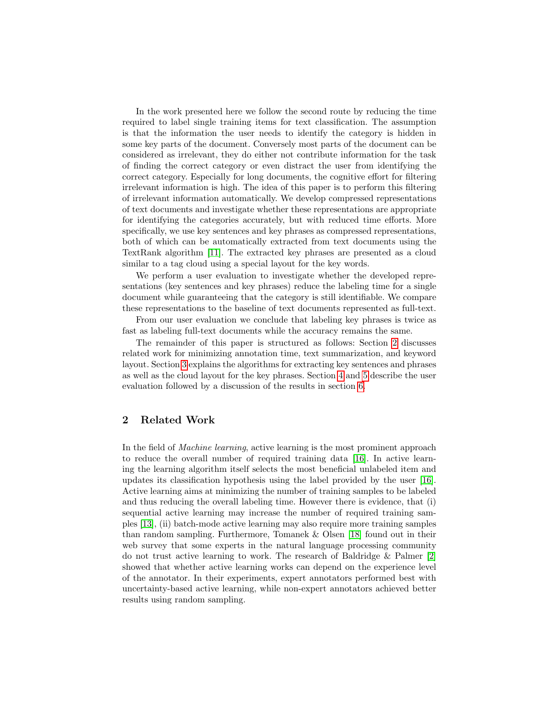In the work presented here we follow the second route by reducing the time required to label single training items for text classification. The assumption is that the information the user needs to identify the category is hidden in some key parts of the document. Conversely most parts of the document can be considered as irrelevant, they do either not contribute information for the task of finding the correct category or even distract the user from identifying the correct category. Especially for long documents, the cognitive effort for filtering irrelevant information is high. The idea of this paper is to perform this filtering of irrelevant information automatically. We develop compressed representations of text documents and investigate whether these representations are appropriate for identifying the categories accurately, but with reduced time efforts. More specifically, we use key sentences and key phrases as compressed representations, both of which can be automatically extracted from text documents using the TextRank algorithm [\[11\]](#page-14-3). The extracted key phrases are presented as a cloud similar to a tag cloud using a special layout for the key words.

We perform a user evaluation to investigate whether the developed representations (key sentences and key phrases) reduce the labeling time for a single document while guaranteeing that the category is still identifiable. We compare these representations to the baseline of text documents represented as full-text.

From our user evaluation we conclude that labeling key phrases is twice as fast as labeling full-text documents while the accuracy remains the same.

The remainder of this paper is structured as follows: Section [2](#page-1-0) discusses related work for minimizing annotation time, text summarization, and keyword layout. Section [3](#page-2-0) explains the algorithms for extracting key sentences and phrases as well as the cloud layout for the key phrases. Section [4](#page-4-0) and [5](#page-8-0) describe the user evaluation followed by a discussion of the results in section [6.](#page-12-0)

## <span id="page-1-0"></span>2 Related Work

In the field of Machine learning, active learning is the most prominent approach to reduce the overall number of required training data [\[16\]](#page-14-1). In active learning the learning algorithm itself selects the most beneficial unlabeled item and updates its classification hypothesis using the label provided by the user [\[16\]](#page-14-1). Active learning aims at minimizing the number of training samples to be labeled and thus reducing the overall labeling time. However there is evidence, that (i) sequential active learning may increase the number of required training samples [\[13\]](#page-14-4), (ii) batch-mode active learning may also require more training samples than random sampling. Furthermore, Tomanek & Olsen [\[18\]](#page-14-5) found out in their web survey that some experts in the natural language processing community do not trust active learning to work. The research of Baldridge & Palmer [\[2\]](#page-13-2) showed that whether active learning works can depend on the experience level of the annotator. In their experiments, expert annotators performed best with uncertainty-based active learning, while non-expert annotators achieved better results using random sampling.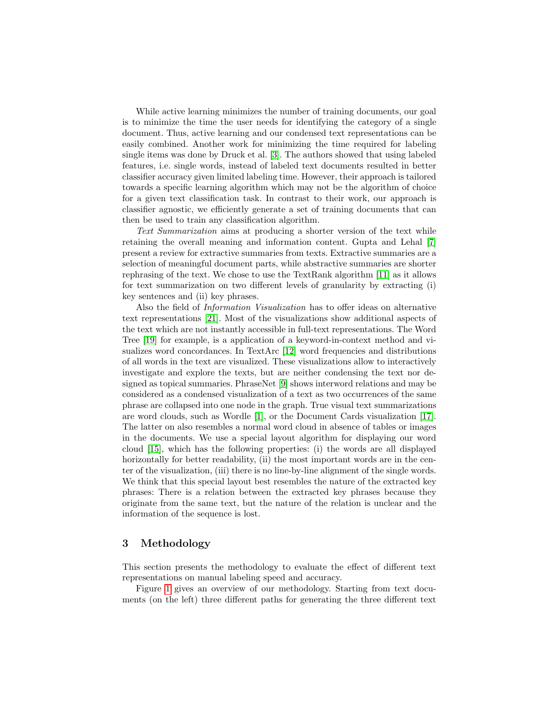While active learning minimizes the number of training documents, our goal is to minimize the time the user needs for identifying the category of a single document. Thus, active learning and our condensed text representations can be easily combined. Another work for minimizing the time required for labeling single items was done by Druck et al. [\[3\]](#page-13-1). The authors showed that using labeled features, i.e. single words, instead of labeled text documents resulted in better classifier accuracy given limited labeling time. However, their approach is tailored towards a specific learning algorithm which may not be the algorithm of choice for a given text classification task. In contrast to their work, our approach is classifier agnostic, we efficiently generate a set of training documents that can then be used to train any classification algorithm.

Text Summarization aims at producing a shorter version of the text while retaining the overall meaning and information content. Gupta and Lehal [\[7\]](#page-13-3) present a review for extractive summaries from texts. Extractive summaries are a selection of meaningful document parts, while abstractive summaries are shorter rephrasing of the text. We chose to use the TextRank algorithm [\[11\]](#page-14-3) as it allows for text summarization on two different levels of granularity by extracting (i) key sentences and (ii) key phrases.

Also the field of Information Visualization has to offer ideas on alternative text representations [\[21\]](#page-14-6). Most of the visualizations show additional aspects of the text which are not instantly accessible in full-text representations. The Word Tree [\[19\]](#page-14-7) for example, is a application of a keyword-in-context method and visualizes word concordances. In TextArc [\[12\]](#page-14-8) word frequencies and distributions of all words in the text are visualized. These visualizations allow to interactively investigate and explore the texts, but are neither condensing the text nor designed as topical summaries. PhraseNet [\[9\]](#page-14-9) shows interword relations and may be considered as a condensed visualization of a text as two occurrences of the same phrase are collapsed into one node in the graph. True visual text summarizations are word clouds, such as Wordle [\[1\]](#page-13-4), or the Document Cards visualization [\[17\]](#page-14-10). The latter on also resembles a normal word cloud in absence of tables or images in the documents. We use a special layout algorithm for displaying our word cloud [\[15\]](#page-14-11), which has the following properties: (i) the words are all displayed horizontally for better readability, (ii) the most important words are in the center of the visualization, (iii) there is no line-by-line alignment of the single words. We think that this special layout best resembles the nature of the extracted key phrases: There is a relation between the extracted key phrases because they originate from the same text, but the nature of the relation is unclear and the information of the sequence is lost.

### <span id="page-2-0"></span>3 Methodology

This section presents the methodology to evaluate the effect of different text representations on manual labeling speed and accuracy.

Figure [1](#page-3-0) gives an overview of our methodology. Starting from text documents (on the left) three different paths for generating the three different text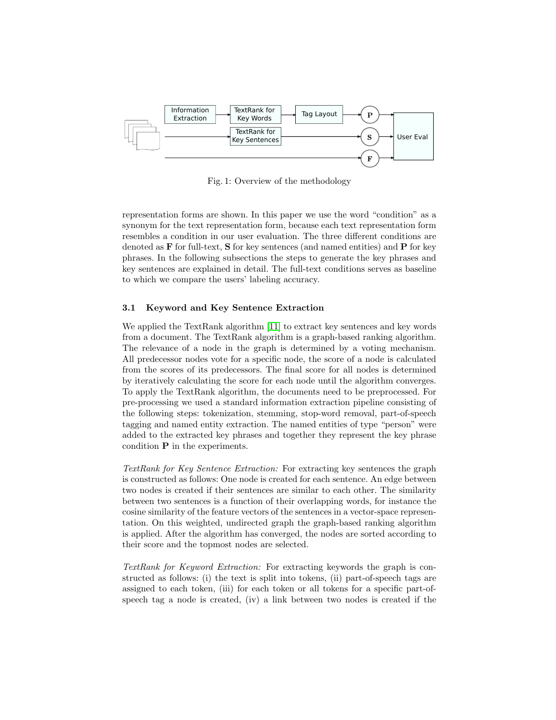<span id="page-3-0"></span>

Fig. 1: Overview of the methodology

representation forms are shown. In this paper we use the word "condition" as a synonym for the text representation form, because each text representation form resembles a condition in our user evaluation. The three different conditions are denoted as  $\bf{F}$  for full-text,  $\bf{S}$  for key sentences (and named entities) and  $\bf{P}$  for key phrases. In the following subsections the steps to generate the key phrases and key sentences are explained in detail. The full-text conditions serves as baseline to which we compare the users' labeling accuracy.

#### <span id="page-3-1"></span>3.1 Keyword and Key Sentence Extraction

We applied the TextRank algorithm [\[11\]](#page-14-3) to extract key sentences and key words from a document. The TextRank algorithm is a graph-based ranking algorithm. The relevance of a node in the graph is determined by a voting mechanism. All predecessor nodes vote for a specific node, the score of a node is calculated from the scores of its predecessors. The final score for all nodes is determined by iteratively calculating the score for each node until the algorithm converges. To apply the TextRank algorithm, the documents need to be preprocessed. For pre-processing we used a standard information extraction pipeline consisting of the following steps: tokenization, stemming, stop-word removal, part-of-speech tagging and named entity extraction. The named entities of type "person" were added to the extracted key phrases and together they represent the key phrase condition  $P$  in the experiments.

TextRank for Key Sentence Extraction: For extracting key sentences the graph is constructed as follows: One node is created for each sentence. An edge between two nodes is created if their sentences are similar to each other. The similarity between two sentences is a function of their overlapping words, for instance the cosine similarity of the feature vectors of the sentences in a vector-space representation. On this weighted, undirected graph the graph-based ranking algorithm is applied. After the algorithm has converged, the nodes are sorted according to their score and the topmost nodes are selected.

TextRank for Keyword Extraction: For extracting keywords the graph is constructed as follows: (i) the text is split into tokens, (ii) part-of-speech tags are assigned to each token, (iii) for each token or all tokens for a specific part-ofspeech tag a node is created, (iv) a link between two nodes is created if the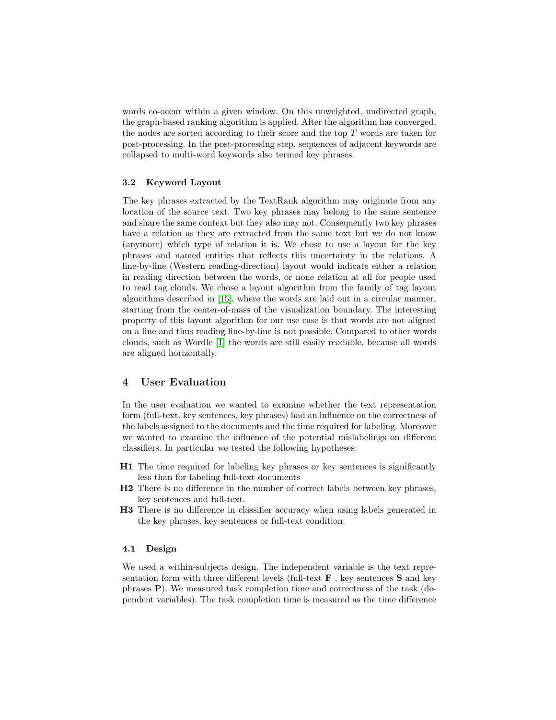words co-occur within a given window. On this unweighted, undirected graph, the graph-based ranking algorithm is applied. After the algorithm has converged, the nodes are sorted according to their score and the top  $T$  words are taken for post-processing. In the post-processing step, sequences of adjacent keywords are collapsed to multi-word keywords also termed key phrases.

#### <span id="page-4-1"></span>3.2 Keyword Layout

The key phrases extracted by the TextRank algorithm may originate from any location of the source text. Two key phrases may belong to the same sentence and share the same context but they also may not. Consequently two key phrases have a relation as they are extracted from the same text but we do not know (anymore) which type of relation it is. We chose to use a layout for the key phrases and named entities that reflects this uncertainty in the relations. A line-by-line (Western reading-direction) layout would indicate either a relation in reading direction between the words, or none relation at all for people used to read tag clouds. We chose a layout algorithm from the family of tag layout algorithms described in [\[15\]](#page-14-11), where the words are laid out in a circular manner, starting from the center-of-mass of the visualization boundary. The interesting property of this layout algorithm for our use case is that words are not aligned on a line and thus reading line-by-line is not possible. Compared to other words clouds, such as Wordle [\[1\]](#page-13-4) the words are still easily readable, because all words are aligned horizontally.

## <span id="page-4-0"></span>4 User Evaluation

In the user evaluation we wanted to examine whether the text representation form (full-text, key sentences, key phrases) had an influence on the correctness of the labels assigned to the documents and the time required for labeling. Moreover we wanted to examine the influence of the potential mislabelings on different classifiers. In particular we tested the following hypotheses:

- H1 The time required for labeling key phrases or key sentences is significantly less than for labeling full-text documents
- H2 There is no difference in the number of correct labels between key phrases, key sentences and full-text.
- H3 There is no difference in classifier accuracy when using labels generated in the key phrases, key sentences or full-text condition.

#### 4.1 Design

We used a within-subjects design. The independent variable is the text representation form with three different levels (full-text  $\bf{F}$ , key sentences  $\bf{S}$  and key phrases P). We measured task completion time and correctness of the task (dependent variables). The task completion time is measured as the time difference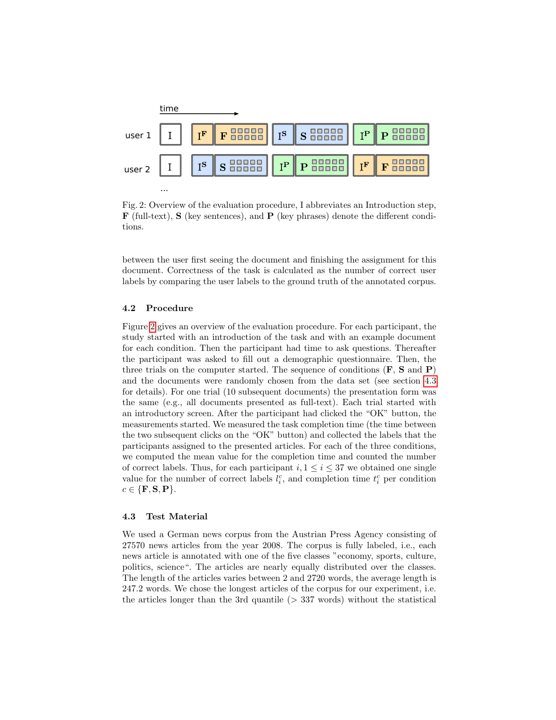<span id="page-5-0"></span>

Fig. 2: Overview of the evaluation procedure, I abbreviates an Introduction step, F (full-text), S (key sentences), and P (key phrases) denote the different conditions.

between the user first seeing the document and finishing the assignment for this document. Correctness of the task is calculated as the number of correct user labels by comparing the user labels to the ground truth of the annotated corpus.

#### 4.2 Procedure

Figure [2](#page-5-0) gives an overview of the evaluation procedure. For each participant, the study started with an introduction of the task and with an example document for each condition. Then the participant had time to ask questions. Thereafter the participant was asked to fill out a demographic questionnaire. Then, the three trials on the computer started. The sequence of conditions  $(F, S \text{ and } P)$ and the documents were randomly chosen from the data set (see section [4.3](#page-5-1) for details). For one trial (10 subsequent documents) the presentation form was the same (e.g., all documents presented as full-text). Each trial started with an introductory screen. After the participant had clicked the "OK" button, the measurements started. We measured the task completion time (the time between the two subsequent clicks on the "OK" button) and collected the labels that the participants assigned to the presented articles. For each of the three conditions, we computed the mean value for the completion time and counted the number of correct labels. Thus, for each participant  $i, 1 \leq i \leq 37$  we obtained one single value for the number of correct labels  $l_i^c$ , and completion time  $t_i^c$  per condition  $c \in \{F, S, P\}.$ 

#### <span id="page-5-1"></span>4.3 Test Material

We used a German news corpus from the Austrian Press Agency consisting of 27570 news articles from the year 2008. The corpus is fully labeled, i.e., each news article is annotated with one of the five classes "economy, sports, culture, politics, science". The articles are nearly equally distributed over the classes. The length of the articles varies between 2 and 2720 words, the average length is 247.2 words. We chose the longest articles of the corpus for our experiment, i.e. the articles longer than the 3rd quantile  $(> 337 \text{ words})$  without the statistical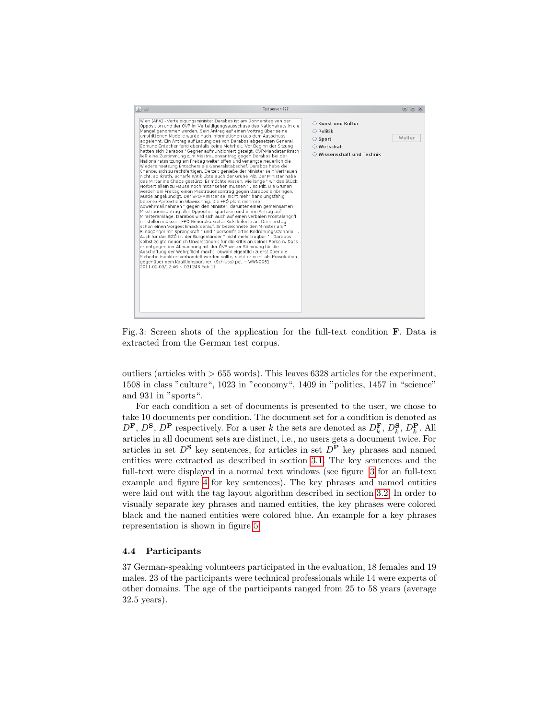<span id="page-6-0"></span>

Fig. 3: Screen shots of the application for the full-text condition F. Data is extracted from the German test corpus.

outliers (articles with  $> 655$  words). This leaves 6328 articles for the experiment, 1508 in class "culture", 1023 in "economy", 1409 in "politics, 1457 in "science" and 931 in "sports".

For each condition a set of documents is presented to the user, we chose to take 10 documents per condition. The document set for a condition is denoted as  $D^{\mathbf{F}}, D^{\mathbf{S}}, D^{\mathbf{P}}$  respectively. For a user k the sets are denoted as  $D_k^{\mathbf{F}}, D_k^{\mathbf{S}}, D_k^{\mathbf{P}}$ . All articles in all document sets are distinct, i.e., no users gets a document twice. For articles in set  $D^S$  key sentences, for articles in set  $D^P$  key phrases and named entities were extracted as described in section [3.1.](#page-3-1) The key sentences and the full-text were displayed in a normal text windows (see figure [3](#page-6-0) for an full-text example and figure [4](#page-7-0) for key sentences). The key phrases and named entities were laid out with the tag layout algorithm described in section [3.2.](#page-4-1) In order to visually separate key phrases and named entities, the key phrases were colored black and the named entities were colored blue. An example for a key phrases representation is shown in figure [5.](#page-7-1)

#### 4.4 Participants

37 German-speaking volunteers participated in the evaluation, 18 females and 19 males. 23 of the participants were technical professionals while 14 were experts of other domains. The age of the participants ranged from 25 to 58 years (average 32.5 years).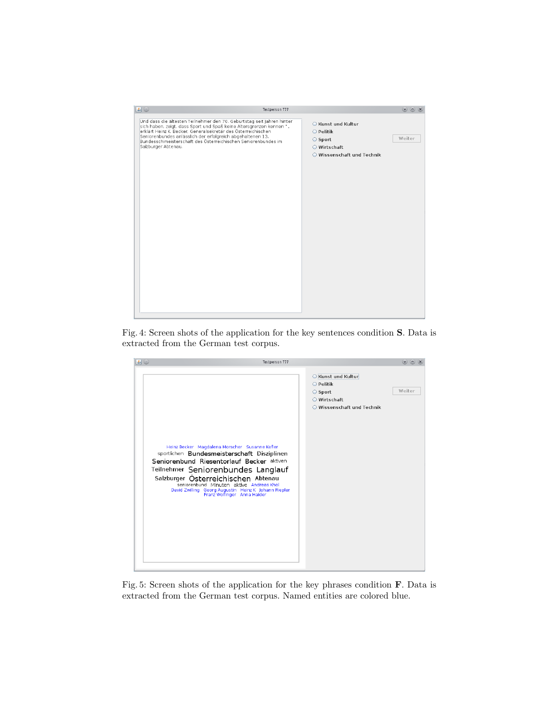<span id="page-7-0"></span>

Fig. 4: Screen shots of the application for the key sentences condition S. Data is extracted from the German test corpus.

<span id="page-7-1"></span>

| Kunst und Kultur                                                                                                                                                                                                                                                                                                                                                                                                  | Testperson 777 | $\bullet$ $\bullet$ $\times$ |
|-------------------------------------------------------------------------------------------------------------------------------------------------------------------------------------------------------------------------------------------------------------------------------------------------------------------------------------------------------------------------------------------------------------------|----------------|------------------------------|
| Sport<br>○ Wirtschaft<br>O Wissenschaft und Technik<br>Heinz Becker Magdalena Morscher Susanne Kofler<br>sportlichen Bundesmeisterschaft Disziplinen<br>Seniorenbund Riesentorlauf Becker aktiven<br>Teilnehmer Seniorenbundes Langlauf<br>Salzburger Österreichischen Abtenau<br>seniorenbund Minuten aktive Andreas Khol<br>David Zwilling Georg Augustin Heinz K Johann Riepler<br>Franz Wolfinger Anna Haider | ○ Politik      | Weiter                       |

Fig. 5: Screen shots of the application for the key phrases condition F. Data is extracted from the German test corpus. Named entities are colored blue.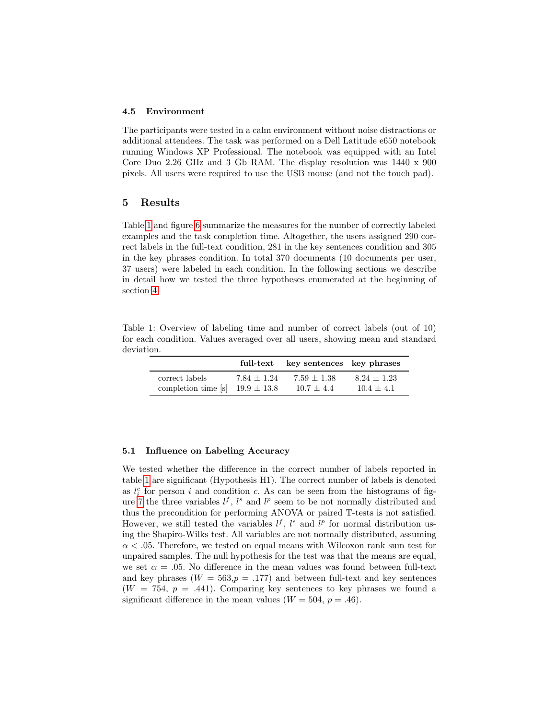#### 4.5 Environment

The participants were tested in a calm environment without noise distractions or additional attendees. The task was performed on a Dell Latitude e650 notebook running Windows XP Professional. The notebook was equipped with an Intel Core Duo 2.26 GHz and 3 Gb RAM. The display resolution was 1440 x 900 pixels. All users were required to use the USB mouse (and not the touch pad).

### <span id="page-8-0"></span>5 Results

Table [1](#page-8-1) and figure [6](#page-9-0) summarize the measures for the number of correctly labeled examples and the task completion time. Altogether, the users assigned 290 correct labels in the full-text condition, 281 in the key sentences condition and 305 in the key phrases condition. In total 370 documents (10 documents per user, 37 users) were labeled in each condition. In the following sections we describe in detail how we tested the three hypotheses enumerated at the beginning of section [4.](#page-4-0)

<span id="page-8-1"></span>Table 1: Overview of labeling time and number of correct labels (out of 10) for each condition. Values averaged over all users, showing mean and standard deviation.

|                                     | full-text     | key sentences key phrases |               |
|-------------------------------------|---------------|---------------------------|---------------|
| correct labels                      | $7.84 + 1.24$ | $7.59 + 1.38$             | $8.24 + 1.23$ |
| completion time [s] $19.9 \pm 13.8$ |               | $10.7 \pm 4.4$            | $10.4 + 4.1$  |

#### <span id="page-8-2"></span>5.1 Influence on Labeling Accuracy

We tested whether the difference in the correct number of labels reported in table [1](#page-8-1) are significant (Hypothesis H1). The correct number of labels is denoted as  $l_i^c$  for person i and condition c. As can be seen from the histograms of fig-ure [7](#page-9-1) the three variables  $l^f$ ,  $l^s$  and  $l^p$  seem to be not normally distributed and thus the precondition for performing ANOVA or paired T-tests is not satisfied. However, we still tested the variables  $l^f$ ,  $l^s$  and  $l^p$  for normal distribution using the Shapiro-Wilks test. All variables are not normally distributed, assuming  $\alpha$  < .05. Therefore, we tested on equal means with Wilcoxon rank sum test for unpaired samples. The null hypothesis for the test was that the means are equal, we set  $\alpha = 0.05$ . No difference in the mean values was found between full-text and key phrases  $(W = 563, p = .177)$  and between full-text and key sentences  $(W = 754, p = .441)$ . Comparing key sentences to key phrases we found a significant difference in the mean values  $(W = 504, p = .46)$ .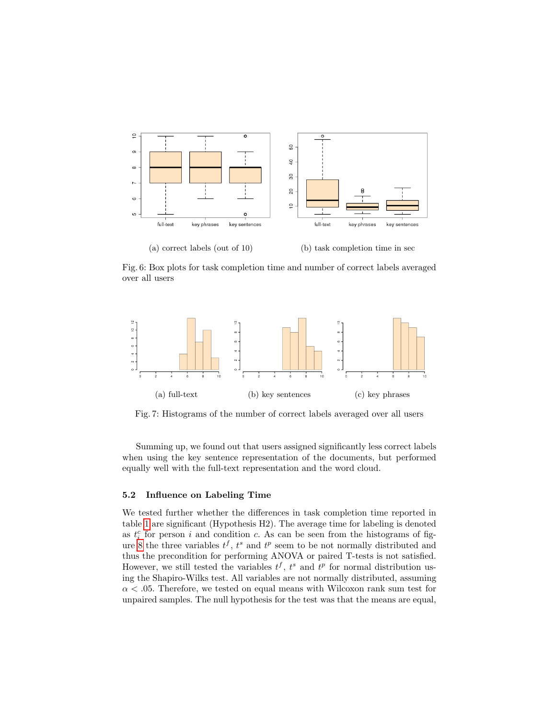<span id="page-9-0"></span>

Fig. 6: Box plots for task completion time and number of correct labels averaged over all users

<span id="page-9-1"></span>

Fig. 7: Histograms of the number of correct labels averaged over all users

Summing up, we found out that users assigned significantly less correct labels when using the key sentence representation of the documents, but performed equally well with the full-text representation and the word cloud.

#### 5.2 Influence on Labeling Time

We tested further whether the differences in task completion time reported in table [1](#page-8-1) are significant (Hypothesis H2). The average time for labeling is denoted as  $t_i^c$  for person i and condition c. As can be seen from the histograms of fig-ure [8](#page-10-0) the three variables  $t^f$ ,  $t^s$  and  $t^p$  seem to be not normally distributed and thus the precondition for performing ANOVA or paired T-tests is not satisfied. However, we still tested the variables  $t^f$ ,  $t^s$  and  $t^p$  for normal distribution using the Shapiro-Wilks test. All variables are not normally distributed, assuming  $\alpha$  < .05. Therefore, we tested on equal means with Wilcoxon rank sum test for unpaired samples. The null hypothesis for the test was that the means are equal,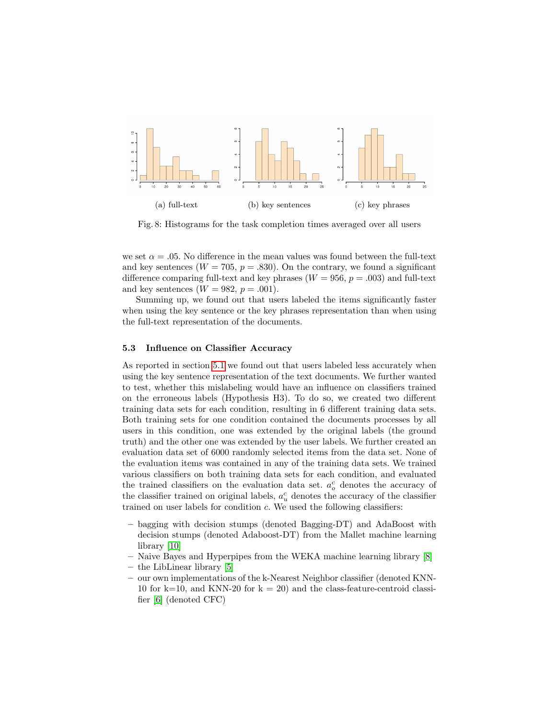<span id="page-10-0"></span>

Fig. 8: Histograms for the task completion times averaged over all users

we set  $\alpha = 0.05$ . No difference in the mean values was found between the full-text and key sentences ( $W = 705$ ,  $p = .830$ ). On the contrary, we found a significant difference comparing full-text and key phrases  $(W = 956, p = .003)$  and full-text and key sentences  $(W = 982, p = .001)$ .

Summing up, we found out that users labeled the items significantly faster when using the key sentence or the key phrases representation than when using the full-text representation of the documents.

## 5.3 Influence on Classifier Accuracy

As reported in section [5.1](#page-8-2) we found out that users labeled less accurately when using the key sentence representation of the text documents. We further wanted to test, whether this mislabeling would have an influence on classifiers trained on the erroneous labels (Hypothesis H3). To do so, we created two different training data sets for each condition, resulting in 6 different training data sets. Both training sets for one condition contained the documents processes by all users in this condition, one was extended by the original labels (the ground truth) and the other one was extended by the user labels. We further created an evaluation data set of 6000 randomly selected items from the data set. None of the evaluation items was contained in any of the training data sets. We trained various classifiers on both training data sets for each condition, and evaluated the trained classifiers on the evaluation data set.  $a_o^c$  denotes the accuracy of the classifier trained on original labels,  $a_u^c$  denotes the accuracy of the classifier trained on user labels for condition c. We used the following classifiers:

- bagging with decision stumps (denoted Bagging-DT) and AdaBoost with decision stumps (denoted Adaboost-DT) from the Mallet machine learning library [\[10\]](#page-14-12)
- Naive Bayes and Hyperpipes from the WEKA machine learning library [\[8\]](#page-14-13)
- the LibLinear library [\[5\]](#page-13-5)
- our own implementations of the k-Nearest Neighbor classifier (denoted KNN-10 for k=10, and KNN-20 for  $k = 20$ ) and the class-feature-centroid classifier [\[6\]](#page-13-6) (denoted CFC)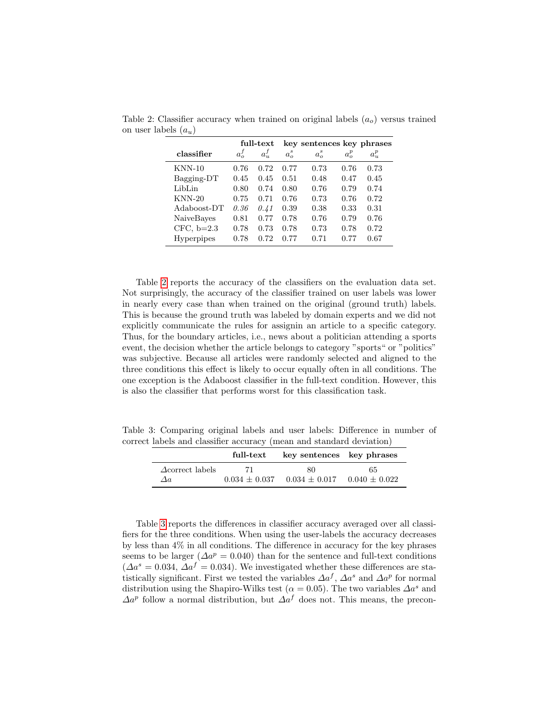|                   |         | full-text |         | key sentences key phrases |         |         |
|-------------------|---------|-----------|---------|---------------------------|---------|---------|
| classifier        | $a^f_a$ | $a_n^f$   | $a_o^s$ | $a_o^s$                   | $a^p_a$ | $a_n^p$ |
| $KNN-10$          | 0.76    | 0.72      | 0.77    | 0.73                      | 0.76    | 0.73    |
| Bagging-DT        | 0.45    | 0.45      | 0.51    | 0.48                      | 0.47    | 0.45    |
| LibLin            | 0.80    | 0.74      | 0.80    | 0.76                      | 0.79    | 0.74    |
| $KNN-20$          | 0.75    | 0.71      | 0.76    | 0.73                      | 0.76    | 0.72    |
| Adaboost-DT       | 0.36    | 0.41      | 0.39    | 0.38                      | 0.33    | 0.31    |
| NaiveBayes        | 0.81    | 0.77      | 0.78    | 0.76                      | 0.79    | 0.76    |
| CFC, $b=2.3$      | 0.78    | 0.73      | 0.78    | 0.73                      | 0.78    | 0.72    |
| <b>Hyperpipes</b> | 0.78    | 0.72      | በ 77    | 0.71                      | 0.77    | 0.67    |

<span id="page-11-0"></span>Table 2: Classifier accuracy when trained on original labels  $(a<sub>o</sub>)$  versus trained on user labels  $(a_u)$ 

Table [2](#page-11-0) reports the accuracy of the classifiers on the evaluation data set. Not surprisingly, the accuracy of the classifier trained on user labels was lower in nearly every case than when trained on the original (ground truth) labels. This is because the ground truth was labeled by domain experts and we did not explicitly communicate the rules for assignin an article to a specific category. Thus, for the boundary articles, i.e., news about a politician attending a sports event, the decision whether the article belongs to category "sports" or "politics" was subjective. Because all articles were randomly selected and aligned to the three conditions this effect is likely to occur equally often in all conditions. The one exception is the Adaboost classifier in the full-text condition. However, this is also the classifier that performs worst for this classification task.

<span id="page-11-1"></span>Table 3: Comparing original labels and user labels: Difference in number of correct labels and classifier accuracy (mean and standard deviation)

|                         | full-text       | key sentences key phrases       |    |
|-------------------------|-----------------|---------------------------------|----|
| $\Delta$ correct labels | 71              | 80                              | 65 |
| Δa                      | $0.034 + 0.037$ | $0.034 + 0.017$ $0.040 + 0.022$ |    |

Table [3](#page-11-1) reports the differences in classifier accuracy averaged over all classifiers for the three conditions. When using the user-labels the accuracy decreases by less than 4% in all conditions. The difference in accuracy for the key phrases seems to be larger ( $\Delta a^p = 0.040$ ) than for the sentence and full-text conditions  $(\Delta a^s = 0.034, \Delta a^f = 0.034)$ . We investigated whether these differences are statistically significant. First we tested the variables  $\Delta a^f$ ,  $\Delta a^s$  and  $\Delta a^p$  for normal distribution using the Shapiro-Wilks test ( $\alpha = 0.05$ ). The two variables  $\Delta a^s$  and  $\Delta a^p$  follow a normal distribution, but  $\Delta a^f$  does not. This means, the precon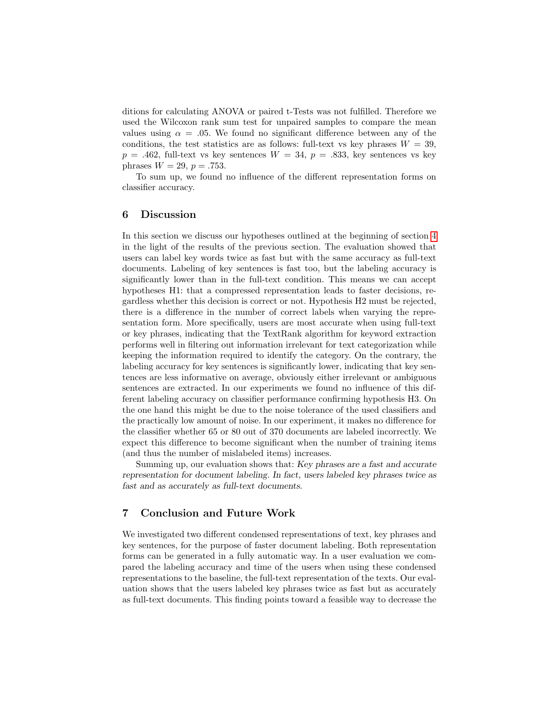ditions for calculating ANOVA or paired t-Tests was not fulfilled. Therefore we used the Wilcoxon rank sum test for unpaired samples to compare the mean values using  $\alpha = 0.05$ . We found no significant difference between any of the conditions, the test statistics are as follows: full-text vs key phrases  $W = 39$ ,  $p = .462$ , full-text vs key sentences  $W = 34$ ,  $p = .833$ , key sentences vs key phrases  $W = 29, p = .753$ .

To sum up, we found no influence of the different representation forms on classifier accuracy.

# <span id="page-12-0"></span>6 Discussion

In this section we discuss our hypotheses outlined at the beginning of section [4](#page-4-0) in the light of the results of the previous section. The evaluation showed that users can label key words twice as fast but with the same accuracy as full-text documents. Labeling of key sentences is fast too, but the labeling accuracy is significantly lower than in the full-text condition. This means we can accept hypotheses H1: that a compressed representation leads to faster decisions, regardless whether this decision is correct or not. Hypothesis H2 must be rejected, there is a difference in the number of correct labels when varying the representation form. More specifically, users are most accurate when using full-text or key phrases, indicating that the TextRank algorithm for keyword extraction performs well in filtering out information irrelevant for text categorization while keeping the information required to identify the category. On the contrary, the labeling accuracy for key sentences is significantly lower, indicating that key sentences are less informative on average, obviously either irrelevant or ambiguous sentences are extracted. In our experiments we found no influence of this different labeling accuracy on classifier performance confirming hypothesis H3. On the one hand this might be due to the noise tolerance of the used classifiers and the practically low amount of noise. In our experiment, it makes no difference for the classifier whether 65 or 80 out of 370 documents are labeled incorrectly. We expect this difference to become significant when the number of training items (and thus the number of mislabeled items) increases.

Summing up, our evaluation shows that: Key phrases are a fast and accurate representation for document labeling. In fact, users labeled key phrases twice as fast and as accurately as full-text documents.

## 7 Conclusion and Future Work

We investigated two different condensed representations of text, key phrases and key sentences, for the purpose of faster document labeling. Both representation forms can be generated in a fully automatic way. In a user evaluation we compared the labeling accuracy and time of the users when using these condensed representations to the baseline, the full-text representation of the texts. Our evaluation shows that the users labeled key phrases twice as fast but as accurately as full-text documents. This finding points toward a feasible way to decrease the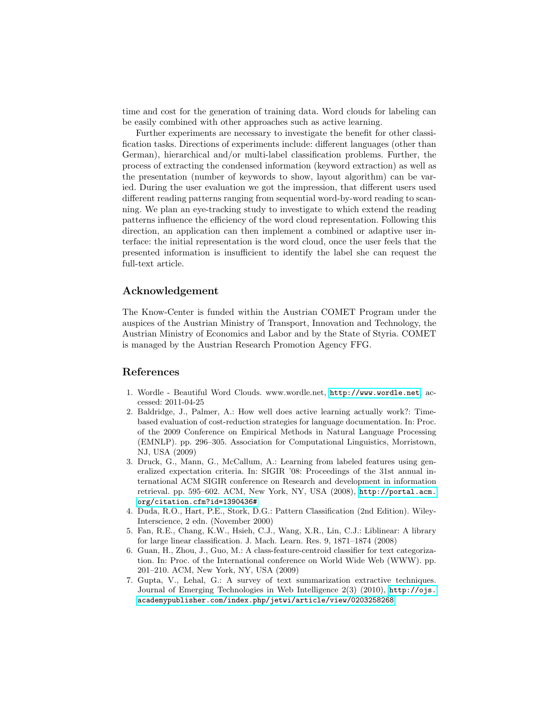time and cost for the generation of training data. Word clouds for labeling can be easily combined with other approaches such as active learning.

Further experiments are necessary to investigate the benefit for other classification tasks. Directions of experiments include: different languages (other than German), hierarchical and/or multi-label classification problems. Further, the process of extracting the condensed information (keyword extraction) as well as the presentation (number of keywords to show, layout algorithm) can be varied. During the user evaluation we got the impression, that different users used different reading patterns ranging from sequential word-by-word reading to scanning. We plan an eye-tracking study to investigate to which extend the reading patterns influence the efficiency of the word cloud representation. Following this direction, an application can then implement a combined or adaptive user interface: the initial representation is the word cloud, once the user feels that the presented information is insufficient to identify the label she can request the full-text article.

## Acknowledgement

The Know-Center is funded within the Austrian COMET Program under the auspices of the Austrian Ministry of Transport, Innovation and Technology, the Austrian Ministry of Economics and Labor and by the State of Styria. COMET is managed by the Austrian Research Promotion Agency FFG.

## References

- <span id="page-13-4"></span>1. Wordle - Beautiful Word Clouds. www.wordle.net, <http://www.wordle.net>, accessed: 2011-04-25
- <span id="page-13-2"></span>2. Baldridge, J., Palmer, A.: How well does active learning actually work?: Timebased evaluation of cost-reduction strategies for language documentation. In: Proc. of the 2009 Conference on Empirical Methods in Natural Language Processing (EMNLP). pp. 296–305. Association for Computational Linguistics, Morristown, NJ, USA (2009)
- <span id="page-13-1"></span>3. Druck, G., Mann, G., McCallum, A.: Learning from labeled features using generalized expectation criteria. In: SIGIR '08: Proceedings of the 31st annual international ACM SIGIR conference on Research and development in information retrieval. pp. 595–602. ACM, New York, NY, USA (2008), [http://portal.acm.](http://portal.acm.org/citation.cfm?id=1390436#) [org/citation.cfm?id=1390436#](http://portal.acm.org/citation.cfm?id=1390436#)
- <span id="page-13-0"></span>4. Duda, R.O., Hart, P.E., Stork, D.G.: Pattern Classification (2nd Edition). Wiley-Interscience, 2 edn. (November 2000)
- <span id="page-13-5"></span>5. Fan, R.E., Chang, K.W., Hsieh, C.J., Wang, X.R., Lin, C.J.: Liblinear: A library for large linear classification. J. Mach. Learn. Res. 9, 1871–1874 (2008)
- <span id="page-13-6"></span>6. Guan, H., Zhou, J., Guo, M.: A class-feature-centroid classifier for text categorization. In: Proc. of the International conference on World Wide Web (WWW). pp. 201–210. ACM, New York, NY, USA (2009)
- <span id="page-13-3"></span>7. Gupta, V., Lehal, G.: A survey of text summarization extractive techniques. Journal of Emerging Technologies in Web Intelligence 2(3) (2010), [http://ojs.](http://ojs.academypublisher.com/index.php/jetwi/article/view/0203258268) [academypublisher.com/index.php/jetwi/article/view/0203258268](http://ojs.academypublisher.com/index.php/jetwi/article/view/0203258268)